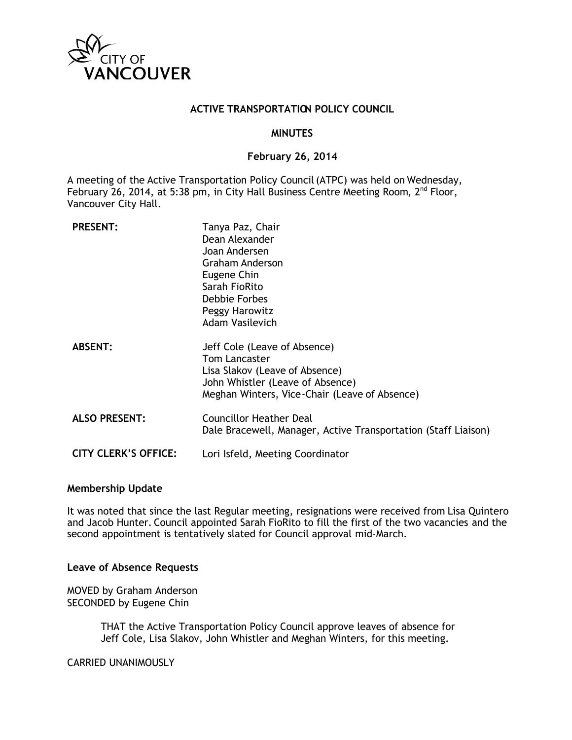

## **ACTIVE TRANSPORTATION POLICY COUNCIL**

#### **MINUTES**

#### **February 26, 2014**

A meeting of the Active Transportation Policy Council (ATPC) was held on Wednesday, February 26, 2014, at 5:38 pm, in City Hall Business Centre Meeting Room, 2<sup>nd</sup> Floor, Vancouver City Hall.

| <b>PRESENT:</b>             | Tanya Paz, Chair<br>Dean Alexander<br>Joan Andersen<br><b>Graham Anderson</b><br>Eugene Chin<br>Sarah FioRito<br><b>Debbie Forbes</b><br>Peggy Harowitz<br><b>Adam Vasilevich</b> |
|-----------------------------|-----------------------------------------------------------------------------------------------------------------------------------------------------------------------------------|
| <b>ABSENT:</b>              | Jeff Cole (Leave of Absence)<br><b>Tom Lancaster</b><br>Lisa Slakov (Leave of Absence)<br>John Whistler (Leave of Absence)<br>Meghan Winters, Vice-Chair (Leave of Absence)       |
| <b>ALSO PRESENT:</b>        | <b>Councillor Heather Deal</b><br>Dale Bracewell, Manager, Active Transportation (Staff Liaison)                                                                                  |
| <b>CITY CLERK'S OFFICE:</b> | Lori Isfeld, Meeting Coordinator                                                                                                                                                  |

#### **Membership Update**

It was noted that since the last Regular meeting, resignations were received from Lisa Quintero and Jacob Hunter. Council appointed Sarah FioRito to fill the first of the two vacancies and the second appointment is tentatively slated for Council approval mid-March.

## **Leave of Absence Requests**

MOVED by Graham Anderson SECONDED by Eugene Chin

> THAT the Active Transportation Policy Council approve leaves of absence for Jeff Cole, Lisa Slakov, John Whistler and Meghan Winters, for this meeting.

CARRIED UNANIMOUSLY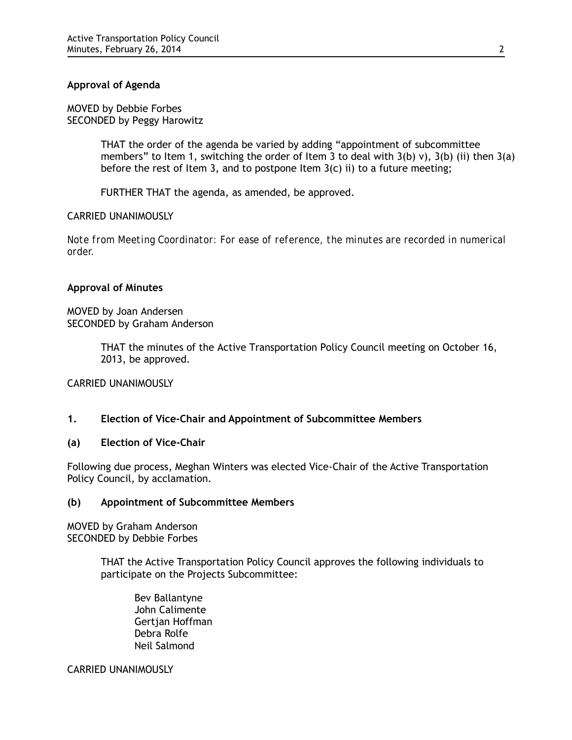# **Approval of Agenda**

MOVED by Debbie Forbes SECONDED by Peggy Harowitz

> THAT the order of the agenda be varied by adding "appointment of subcommittee members" to Item 1, switching the order of Item 3 to deal with  $3(b)$  v),  $3(b)$  (ii) then  $3(a)$ before the rest of Item 3, and to postpone Item  $3(c)$  ii) to a future meeting;

FURTHER THAT the agenda, as amended, be approved.

## CARRIED UNANIMOUSLY

*Note from Meeting Coordinator: For ease of reference, the minutes are recorded in numerical order.* 

## **Approval of Minutes**

MOVED by Joan Andersen SECONDED by Graham Anderson

> THAT the minutes of the Active Transportation Policy Council meeting on October 16, 2013, be approved.

CARRIED UNANIMOUSLY

# **1. Election of Vice-Chair and Appointment of Subcommittee Members**

**(a) Election of Vice-Chair**

Following due process, Meghan Winters was elected Vice-Chair of the Active Transportation Policy Council, by acclamation.

## **(b) Appointment of Subcommittee Members**

MOVED by Graham Anderson SECONDED by Debbie Forbes

> THAT the Active Transportation Policy Council approves the following individuals to participate on the Projects Subcommittee:

Bev Ballantyne John Calimente Gertjan Hoffman Debra Rolfe Neil Salmond

CARRIED UNANIMOUSLY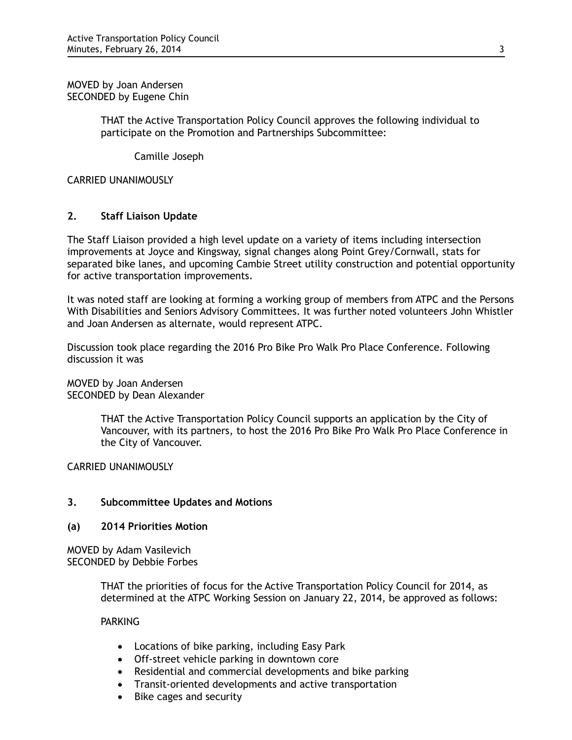MOVED by Joan Andersen SECONDED by Eugene Chin

> THAT the Active Transportation Policy Council approves the following individual to participate on the Promotion and Partnerships Subcommittee:

Camille Joseph

CARRIED UNANIMOUSLY

# **2. Staff Liaison Update**

The Staff Liaison provided a high level update on a variety of items including intersection improvements at Joyce and Kingsway, signal changes along Point Grey/Cornwall, stats for separated bike lanes, and upcoming Cambie Street utility construction and potential opportunity for active transportation improvements.

It was noted staff are looking at forming a working group of members from ATPC and the Persons With Disabilities and Seniors Advisory Committees. It was further noted volunteers John Whistler and Joan Andersen as alternate, would represent ATPC.

Discussion took place regarding the 2016 Pro Bike Pro Walk Pro Place Conference. Following discussion it was

MOVED by Joan Andersen SECONDED by Dean Alexander

> THAT the Active Transportation Policy Council supports an application by the City of Vancouver, with its partners, to host the 2016 Pro Bike Pro Walk Pro Place Conference in the City of Vancouver.

CARRIED UNANIMOUSLY

# **3. Subcommittee Updates and Motions**

# **(a) 2014 Priorities Motion**

MOVED by Adam Vasilevich SECONDED by Debbie Forbes

> THAT the priorities of focus for the Active Transportation Policy Council for 2014, as determined at the ATPC Working Session on January 22, 2014, be approved as follows:

# PARKING

- Locations of bike parking, including Easy Park
- Off-street vehicle parking in downtown core
- Residential and commercial developments and bike parking
- Transit-oriented developments and active transportation
- Bike cages and security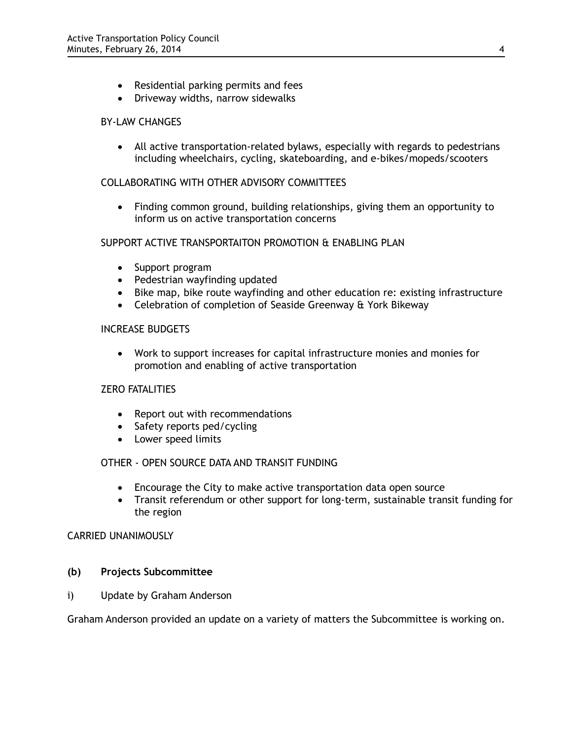- Residential parking permits and fees
- Driveway widths, narrow sidewalks

# BY-LAW CHANGES

• All active transportation-related bylaws, especially with regards to pedestrians including wheelchairs, cycling, skateboarding, and e-bikes/mopeds/scooters

# COLLABORATING WITH OTHER ADVISORY COMMITTEES

• Finding common ground, building relationships, giving them an opportunity to inform us on active transportation concerns

## SUPPORT ACTIVE TRANSPORTAITON PROMOTION & ENABLING PLAN

- Support program
- Pedestrian wayfinding updated
- Bike map, bike route wayfinding and other education re: existing infrastructure
- Celebration of completion of Seaside Greenway & York Bikeway

# INCREASE BUDGETS

• Work to support increases for capital infrastructure monies and monies for promotion and enabling of active transportation

## ZERO FATALITIES

- Report out with recommendations
- Safety reports ped/cycling
- Lower speed limits

## OTHER - OPEN SOURCE DATA AND TRANSIT FUNDING

- Encourage the City to make active transportation data open source
- Transit referendum or other support for long-term, sustainable transit funding for the region

# CARRIED UNANIMOUSLY

## **(b) Projects Subcommittee**

i)Update by Graham Anderson

Graham Anderson provided an update on a variety of matters the Subcommittee is working on.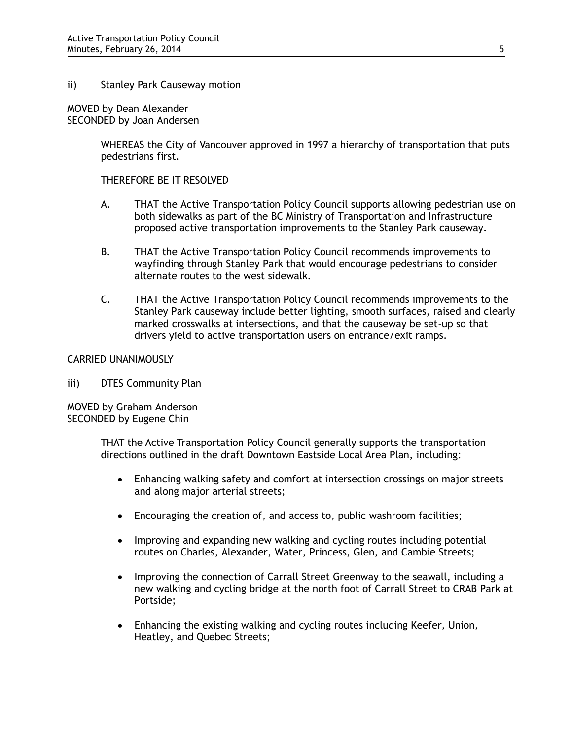## ii) Stanley Park Causeway motion

MOVED by Dean Alexander SECONDED by Joan Andersen

> WHEREAS the City of Vancouver approved in 1997 a hierarchy of transportation that puts pedestrians first.

THEREFORE BE IT RESOLVED

- A. THAT the Active Transportation Policy Council supports allowing pedestrian use on both sidewalks as part of the BC Ministry of Transportation and Infrastructure proposed active transportation improvements to the Stanley Park causeway.
- B. THAT the Active Transportation Policy Council recommends improvements to wayfinding through Stanley Park that would encourage pedestrians to consider alternate routes to the west sidewalk.
- C. THAT the Active Transportation Policy Council recommends improvements to the Stanley Park causeway include better lighting, smooth surfaces, raised and clearly marked crosswalks at intersections, and that the causeway be set-up so that drivers yield to active transportation users on entrance/exit ramps.

## CARRIED UNANIMOUSLY

iii) DTES Community Plan

MOVED by Graham Anderson SECONDED by Eugene Chin

> THAT the Active Transportation Policy Council generally supports the transportation directions outlined in the draft Downtown Eastside Local Area Plan, including:

- Enhancing walking safety and comfort at intersection crossings on major streets and along major arterial streets;
- Encouraging the creation of, and access to, public washroom facilities;
- Improving and expanding new walking and cycling routes including potential routes on Charles, Alexander, Water, Princess, Glen, and Cambie Streets;
- Improving the connection of Carrall Street Greenway to the seawall, including a new walking and cycling bridge at the north foot of Carrall Street to CRAB Park at Portside;
- Enhancing the existing walking and cycling routes including Keefer, Union, Heatley, and Quebec Streets;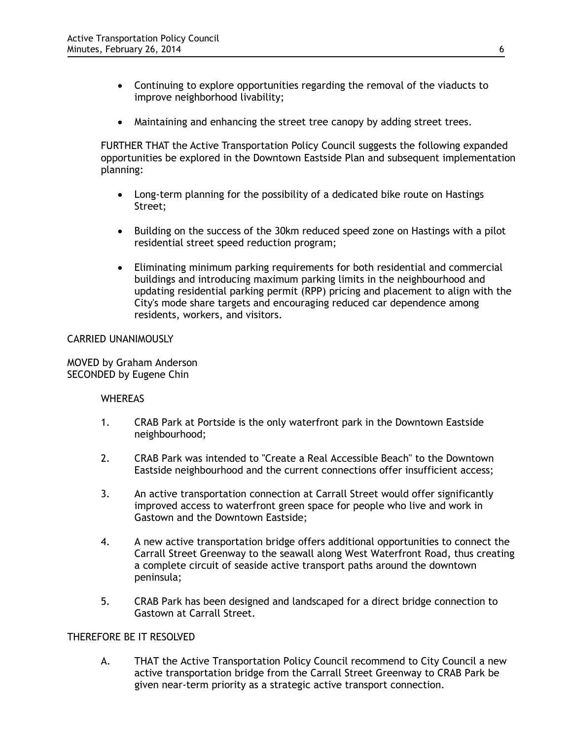- Continuing to explore opportunities regarding the removal of the viaducts to improve neighborhood livability;
- Maintaining and enhancing the street tree canopy by adding street trees.

FURTHER THAT the Active Transportation Policy Council suggests the following expanded opportunities be explored in the Downtown Eastside Plan and subsequent implementation planning:

- Long-term planning for the possibility of a dedicated bike route on Hastings Street;
- Building on the success of the 30km reduced speed zone on Hastings with a pilot residential street speed reduction program;
- Eliminating minimum parking requirements for both residential and commercial buildings and introducing maximum parking limits in the neighbourhood and updating residential parking permit (RPP) pricing and placement to align with the City's mode share targets and encouraging reduced car dependence among residents, workers, and visitors.

## CARRIED UNANIMOUSLY

MOVED by Graham Anderson SECONDED by Eugene Chin

## **WHEREAS**

- 1. CRAB Park at Portside is the only waterfront park in the Downtown Eastside neighbourhood;
- 2. CRAB Park was intended to "Create a Real Accessible Beach" to the Downtown Eastside neighbourhood and the current connections offer insufficient access;
- 3. An active transportation connection at Carrall Street would offer significantly improved access to waterfront green space for people who live and work in Gastown and the Downtown Eastside;
- 4. A new active transportation bridge offers additional opportunities to connect the Carrall Street Greenway to the seawall along West Waterfront Road, thus creating a complete circuit of seaside active transport paths around the downtown peninsula;
- 5. CRAB Park has been designed and landscaped for a direct bridge connection to Gastown at Carrall Street.

# THEREFORE BE IT RESOLVED

A. THAT the Active Transportation Policy Council recommend to City Council a new active transportation bridge from the Carrall Street Greenway to CRAB Park be given near-term priority as a strategic active transport connection.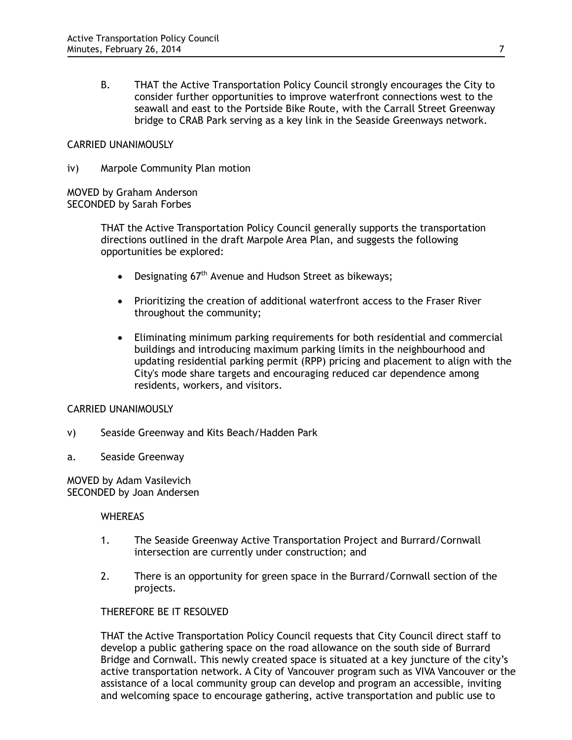B. THAT the Active Transportation Policy Council strongly encourages the City to consider further opportunities to improve waterfront connections west to the seawall and east to the Portside Bike Route, with the Carrall Street Greenway bridge to CRAB Park serving as a key link in the Seaside Greenways network.

## CARRIED UNANIMOUSLY

iv) Marpole Community Plan motion

MOVED by Graham Anderson SECONDED by Sarah Forbes

> THAT the Active Transportation Policy Council generally supports the transportation directions outlined in the draft Marpole Area Plan, and suggests the following opportunities be explored:

- Designating 67<sup>th</sup> Avenue and Hudson Street as bikeways;
- Prioritizing the creation of additional waterfront access to the Fraser River throughout the community;
- Eliminating minimum parking requirements for both residential and commercial buildings and introducing maximum parking limits in the neighbourhood and updating residential parking permit (RPP) pricing and placement to align with the City's mode share targets and encouraging reduced car dependence among residents, workers, and visitors.

# CARRIED UNANIMOUSLY

- v) Seaside Greenway and Kits Beach/Hadden Park
- a. Seaside Greenway

MOVED by Adam Vasilevich SECONDED by Joan Andersen

## **WHEREAS**

- 1. The Seaside Greenway Active Transportation Project and Burrard/Cornwall intersection are currently under construction; and
- 2. There is an opportunity for green space in the Burrard/Cornwall section of the projects.

## THEREFORE BE IT RESOLVED

THAT the Active Transportation Policy Council requests that City Council direct staff to develop a public gathering space on the road allowance on the south side of Burrard Bridge and Cornwall. This newly created space is situated at a key juncture of the city's active transportation network. A City of Vancouver program such as VIVA Vancouver or the assistance of a local community group can develop and program an accessible, inviting and welcoming space to encourage gathering, active transportation and public use to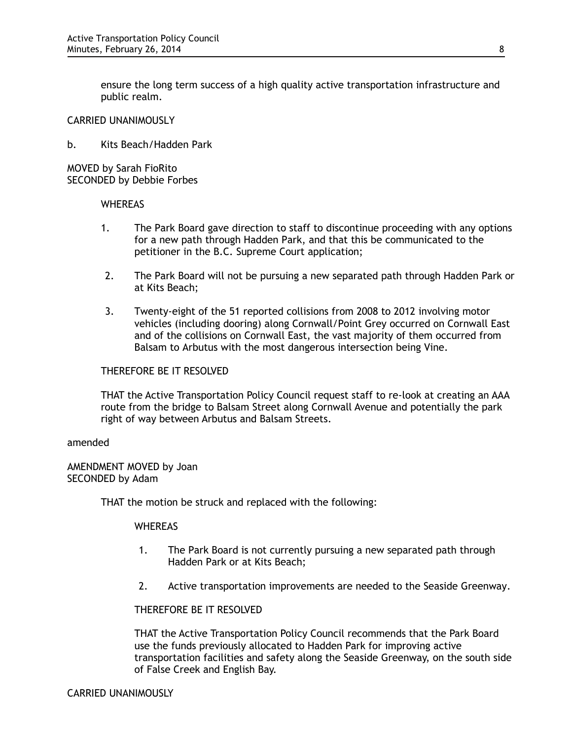ensure the long term success of a high quality active transportation infrastructure and public realm.

## CARRIED UNANIMOUSLY

b. Kits Beach/Hadden Park

MOVED by Sarah FioRito SECONDED by Debbie Forbes

## **WHEREAS**

- 1. The Park Board gave direction to staff to discontinue proceeding with any options for a new path through Hadden Park, and that this be communicated to the petitioner in the B.C. Supreme Court application;
- 2. The Park Board will not be pursuing a new separated path through Hadden Park or at Kits Beach;
- 3. Twenty-eight of the 51 reported collisions from 2008 to 2012 involving motor vehicles (including dooring) along Cornwall/Point Grey occurred on Cornwall East and of the collisions on Cornwall East, the vast majority of them occurred from Balsam to Arbutus with the most dangerous intersection being Vine.

## THEREFORE BE IT RESOLVED

THAT the Active Transportation Policy Council request staff to re-look at creating an AAA route from the bridge to Balsam Street along Cornwall Avenue and potentially the park right of way between Arbutus and Balsam Streets.

#### amended

AMENDMENT MOVED by Joan SECONDED by Adam

THAT the motion be struck and replaced with the following:

## **WHEREAS**

- 1. The Park Board is not currently pursuing a new separated path through Hadden Park or at Kits Beach;
- 2. Active transportation improvements are needed to the Seaside Greenway.

#### THEREFORE BE IT RESOLVED

THAT the Active Transportation Policy Council recommends that the Park Board use the funds previously allocated to Hadden Park for improving active transportation facilities and safety along the Seaside Greenway, on the south side of False Creek and English Bay.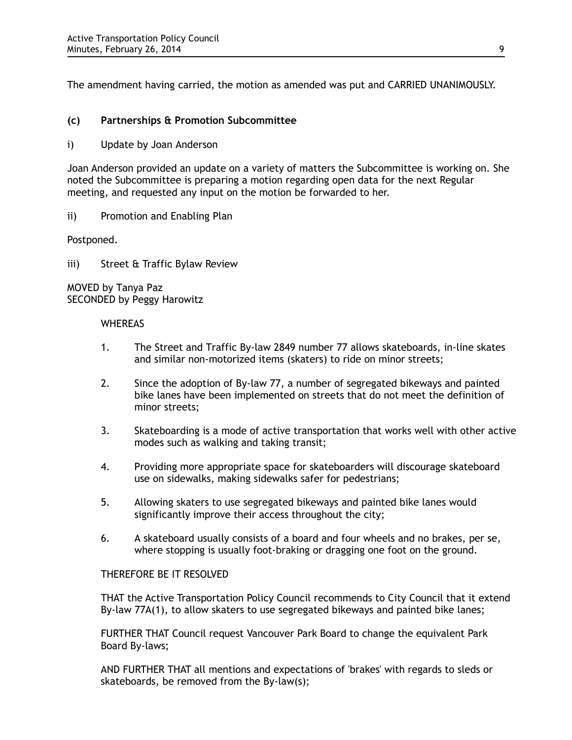The amendment having carried, the motion as amended was put and CARRIED UNANIMOUSLY.

# **(c) Partnerships & Promotion Subcommittee**

i) Update by Joan Anderson

Joan Anderson provided an update on a variety of matters the Subcommittee is working on. She noted the Subcommittee is preparing a motion regarding open data for the next Regular meeting, and requested any input on the motion be forwarded to her.

ii) Promotion and Enabling Plan

Postponed.

iii) Street & Traffic Bylaw Review

MOVED by Tanya Paz SECONDED by Peggy Harowitz

## **WHEREAS**

- 1. The Street and Traffic By-law 2849 number 77 allows skateboards, in-line skates and similar non-motorized items (skaters) to ride on minor streets;
- 2. Since the adoption of By-law 77, a number of segregated bikeways and painted bike lanes have been implemented on streets that do not meet the definition of minor streets;
- 3. Skateboarding is a mode of active transportation that works well with other active modes such as walking and taking transit;
- 4. Providing more appropriate space for skateboarders will discourage skateboard use on sidewalks, making sidewalks safer for pedestrians;
- 5. Allowing skaters to use segregated bikeways and painted bike lanes would significantly improve their access throughout the city;
- 6. A skateboard usually consists of a board and four wheels and no brakes, per se, where stopping is usually foot-braking or dragging one foot on the ground.

## THEREFORE BE IT RESOLVED

THAT the Active Transportation Policy Council recommends to City Council that it extend By-law 77A(1), to allow skaters to use segregated bikeways and painted bike lanes;

FURTHER THAT Council request Vancouver Park Board to change the equivalent Park Board By-laws;

AND FURTHER THAT all mentions and expectations of 'brakes' with regards to sleds or skateboards, be removed from the By-law(s);